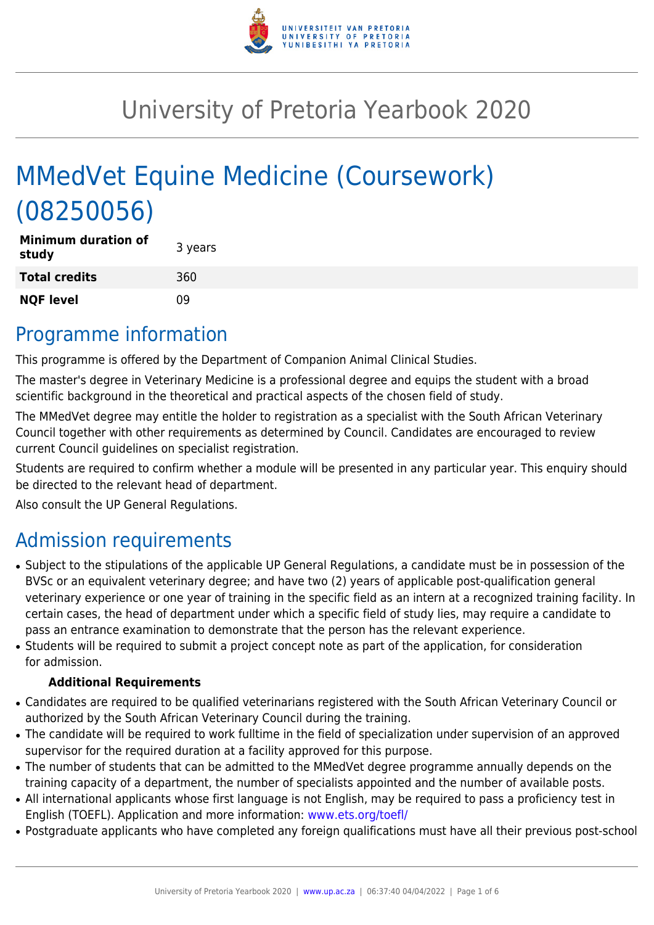

# University of Pretoria Yearbook 2020

# MMedVet Equine Medicine (Coursework) (08250056)

| <b>Minimum duration of</b><br>study | 3 years |
|-------------------------------------|---------|
| <b>Total credits</b>                | 360     |
| <b>NQF level</b>                    | n۹      |

### Programme information

This programme is offered by the Department of Companion Animal Clinical Studies.

The master's degree in Veterinary Medicine is a professional degree and equips the student with a broad scientific background in the theoretical and practical aspects of the chosen field of study.

The MMedVet degree may entitle the holder to registration as a specialist with the South African Veterinary Council together with other requirements as determined by Council. Candidates are encouraged to review current Council guidelines on specialist registration.

Students are required to confirm whether a module will be presented in any particular year. This enquiry should be directed to the relevant head of department.

Also consult the UP General Regulations.

# Admission requirements

- Subject to the stipulations of the applicable UP General Regulations, a candidate must be in possession of the BVSc or an equivalent veterinary degree; and have two (2) years of applicable post-qualification general veterinary experience or one year of training in the specific field as an intern at a recognized training facility. In certain cases, the head of department under which a specific field of study lies, may require a candidate to pass an entrance examination to demonstrate that the person has the relevant experience.
- Students will be required to submit a project concept note as part of the application, for consideration for admission.

#### **Additional Requirements**

- Candidates are required to be qualified veterinarians registered with the South African Veterinary Council or authorized by the South African Veterinary Council during the training.
- The candidate will be required to work fulltime in the field of specialization under supervision of an approved supervisor for the required duration at a facility approved for this purpose.
- The number of students that can be admitted to the MMedVet degree programme annually depends on the training capacity of a department, the number of specialists appointed and the number of available posts.
- All international applicants whose first language is not English, may be required to pass a proficiency test in English (TOEFL). Application and more information: [www.ets.org/toefl/](http://www.ets.org/toefl/)
- Postgraduate applicants who have completed any foreign qualifications must have all their previous post-school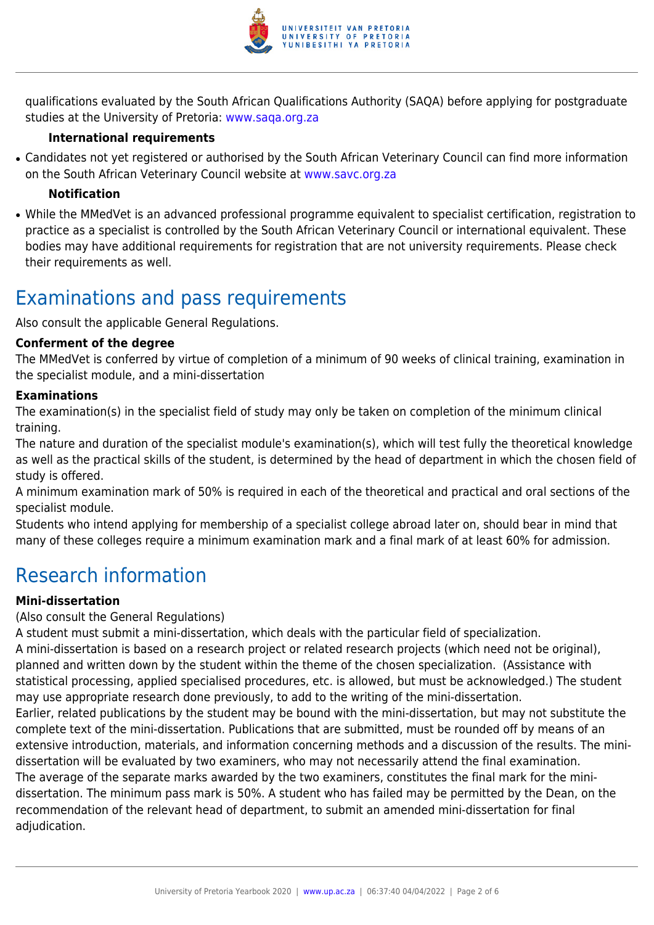

qualifications evaluated by the South African Qualifications Authority (SAQA) before applying for postgraduate studies at the University of Pretoria: [www.saqa.org.za](http://www.saqa.org.za/)

#### **International requirements**

• Candidates not yet registered or authorised by the South African Veterinary Council can find more information on the South African Veterinary Council website at [www.savc.org.za](http://www.savc.org.za)

#### **Notification**

• While the MMedVet is an advanced professional programme equivalent to specialist certification, registration to practice as a specialist is controlled by the South African Veterinary Council or international equivalent. These bodies may have additional requirements for registration that are not university requirements. Please check their requirements as well.

## Examinations and pass requirements

Also consult the applicable General Regulations.

#### **Conferment of the degree**

The MMedVet is conferred by virtue of completion of a minimum of 90 weeks of clinical training, examination in the specialist module, and a mini-dissertation

#### **Examinations**

The examination(s) in the specialist field of study may only be taken on completion of the minimum clinical training.

The nature and duration of the specialist module's examination(s), which will test fully the theoretical knowledge as well as the practical skills of the student, is determined by the head of department in which the chosen field of study is offered.

A minimum examination mark of 50% is required in each of the theoretical and practical and oral sections of the specialist module.

Students who intend applying for membership of a specialist college abroad later on, should bear in mind that many of these colleges require a minimum examination mark and a final mark of at least 60% for admission.

## Research information

#### **Mini-dissertation**

#### (Also consult the General Regulations)

A student must submit a mini-dissertation, which deals with the particular field of specialization. A mini-dissertation is based on a research project or related research projects (which need not be original), planned and written down by the student within the theme of the chosen specialization. (Assistance with statistical processing, applied specialised procedures, etc. is allowed, but must be acknowledged.) The student may use appropriate research done previously, to add to the writing of the mini-dissertation. Earlier, related publications by the student may be bound with the mini-dissertation, but may not substitute the complete text of the mini-dissertation. Publications that are submitted, must be rounded off by means of an extensive introduction, materials, and information concerning methods and a discussion of the results. The minidissertation will be evaluated by two examiners, who may not necessarily attend the final examination. The average of the separate marks awarded by the two examiners, constitutes the final mark for the minidissertation. The minimum pass mark is 50%. A student who has failed may be permitted by the Dean, on the recommendation of the relevant head of department, to submit an amended mini-dissertation for final adjudication.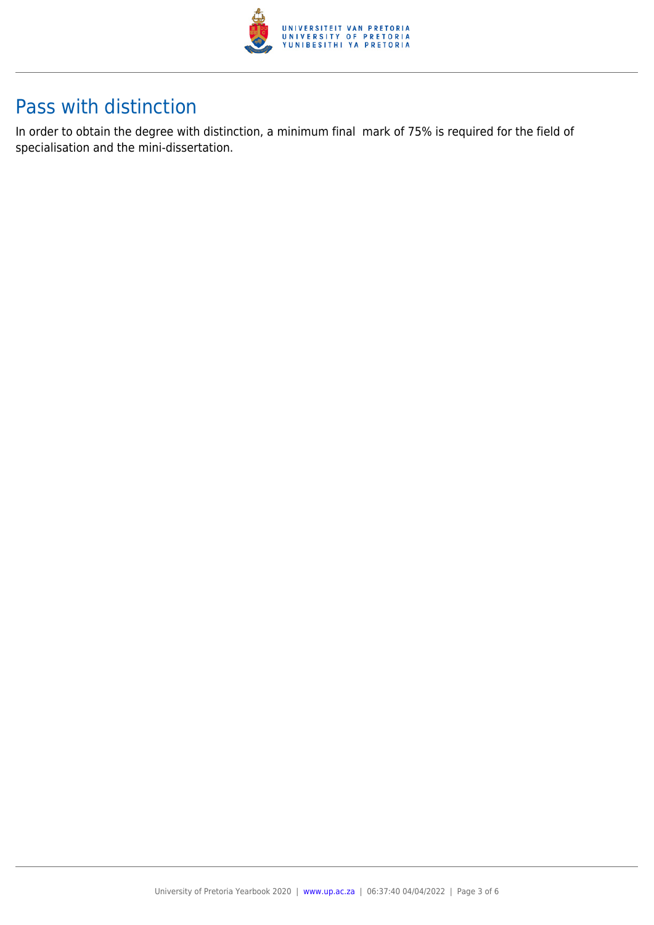

## Pass with distinction

In order to obtain the degree with distinction, a minimum final mark of 75% is required for the field of specialisation and the mini-dissertation.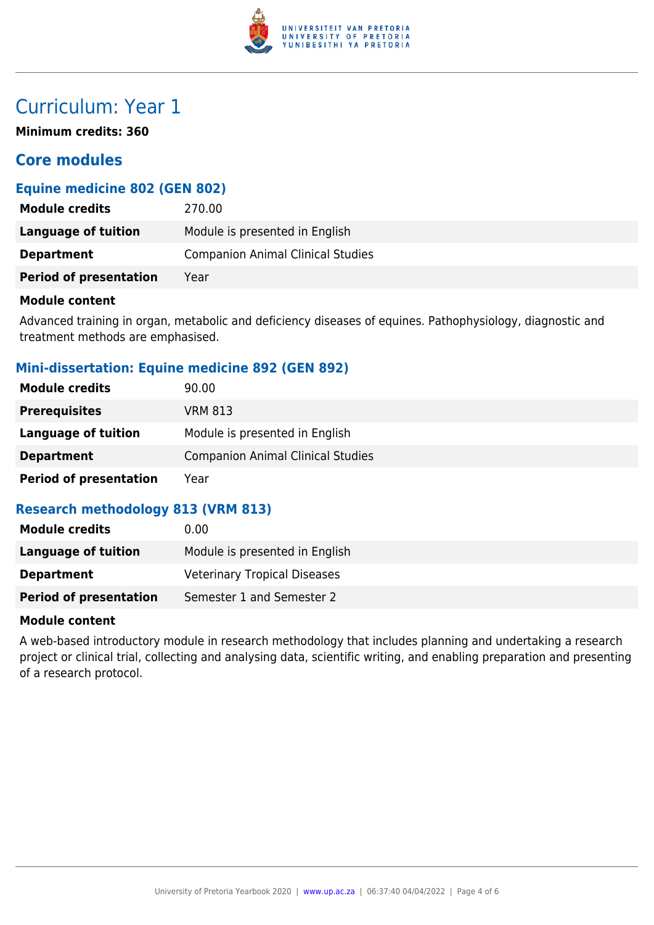

## Curriculum: Year 1

**Minimum credits: 360**

### **Core modules**

#### **Equine medicine 802 (GEN 802)**

| <b>Module credits</b>         | 270.00                                   |
|-------------------------------|------------------------------------------|
| Language of tuition           | Module is presented in English           |
| <b>Department</b>             | <b>Companion Animal Clinical Studies</b> |
| <b>Period of presentation</b> | Year                                     |

#### **Module content**

Advanced training in organ, metabolic and deficiency diseases of equines. Pathophysiology, diagnostic and treatment methods are emphasised.

#### **Mini-dissertation: Equine medicine 892 (GEN 892)**

| <b>Module credits</b>         | 90.00                                    |
|-------------------------------|------------------------------------------|
| <b>Prerequisites</b>          | VRM 813                                  |
| Language of tuition           | Module is presented in English           |
| <b>Department</b>             | <b>Companion Animal Clinical Studies</b> |
| <b>Period of presentation</b> | Year                                     |

#### **Research methodology 813 (VRM 813)**

| <b>Module credits</b>         | 0.00                                |
|-------------------------------|-------------------------------------|
| Language of tuition           | Module is presented in English      |
| <b>Department</b>             | <b>Veterinary Tropical Diseases</b> |
| <b>Period of presentation</b> | Semester 1 and Semester 2           |

#### **Module content**

A web-based introductory module in research methodology that includes planning and undertaking a research project or clinical trial, collecting and analysing data, scientific writing, and enabling preparation and presenting of a research protocol.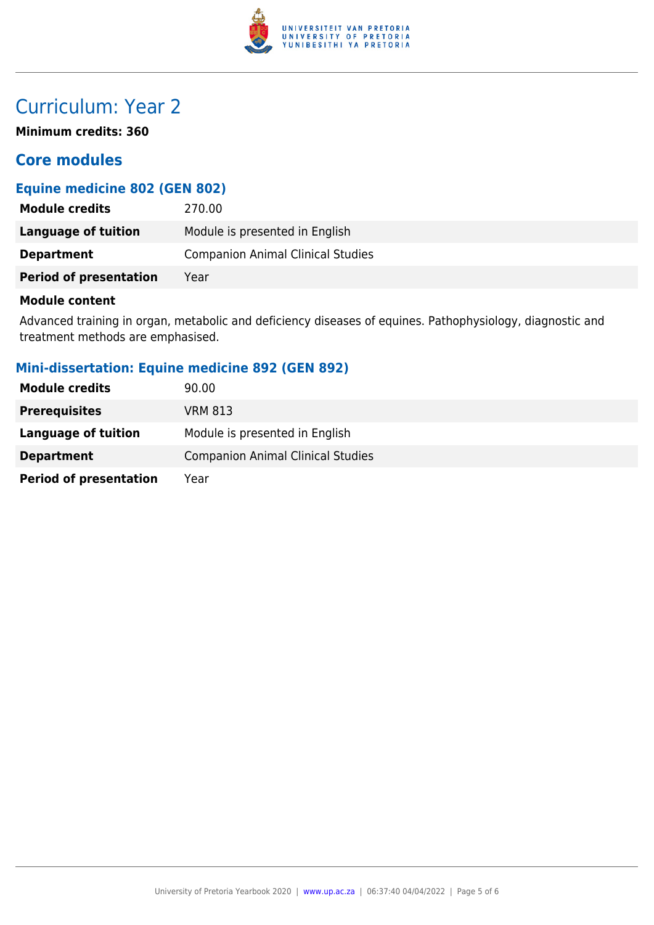

# Curriculum: Year 2

**Minimum credits: 360**

### **Core modules**

### **Equine medicine 802 (GEN 802)**

| <b>Module credits</b>         | 270.00                                   |
|-------------------------------|------------------------------------------|
| Language of tuition           | Module is presented in English           |
| <b>Department</b>             | <b>Companion Animal Clinical Studies</b> |
| <b>Period of presentation</b> | Year                                     |

#### **Module content**

Advanced training in organ, metabolic and deficiency diseases of equines. Pathophysiology, diagnostic and treatment methods are emphasised.

#### **Mini-dissertation: Equine medicine 892 (GEN 892)**

| <b>Module credits</b>         | 90.00                                    |
|-------------------------------|------------------------------------------|
| <b>Prerequisites</b>          | VRM 813                                  |
| Language of tuition           | Module is presented in English           |
| <b>Department</b>             | <b>Companion Animal Clinical Studies</b> |
| <b>Period of presentation</b> | Year                                     |